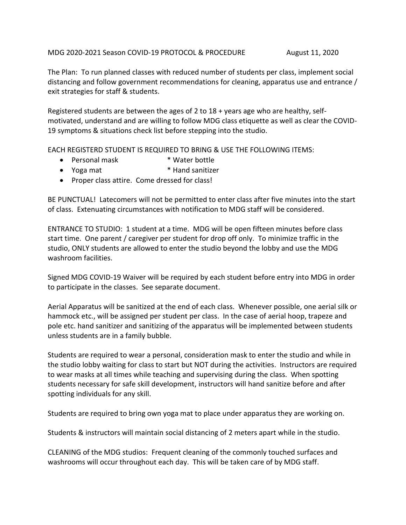MDG 2020-2021 Season COVID-19 PROTOCOL & PROCEDURE August 11, 2020

The Plan: To run planned classes with reduced number of students per class, implement social distancing and follow government recommendations for cleaning, apparatus use and entrance / exit strategies for staff & students.

Registered students are between the ages of 2 to 18 + years age who are healthy, selfmotivated, understand and are willing to follow MDG class etiquette as well as clear the COVID-19 symptoms & situations check list before stepping into the studio.

EACH REGISTERD STUDENT IS REQUIRED TO BRING & USE THE FOLLOWING ITEMS:

- Personal mask \* Water bottle
- Yoga mat \* \* Hand sanitizer
- Proper class attire. Come dressed for class!

BE PUNCTUAL! Latecomers will not be permitted to enter class after five minutes into the start of class. Extenuating circumstances with notification to MDG staff will be considered.

ENTRANCE TO STUDIO: 1 student at a time. MDG will be open fifteen minutes before class start time. One parent / caregiver per student for drop off only. To minimize traffic in the studio, ONLY students are allowed to enter the studio beyond the lobby and use the MDG washroom facilities.

Signed MDG COVID-19 Waiver will be required by each student before entry into MDG in order to participate in the classes. See separate document.

Aerial Apparatus will be sanitized at the end of each class. Whenever possible, one aerial silk or hammock etc., will be assigned per student per class. In the case of aerial hoop, trapeze and pole etc. hand sanitizer and sanitizing of the apparatus will be implemented between students unless students are in a family bubble.

Students are required to wear a personal, consideration mask to enter the studio and while in the studio lobby waiting for class to start but NOT during the activities. Instructors are required to wear masks at all times while teaching and supervising during the class. When spotting students necessary for safe skill development, instructors will hand sanitize before and after spotting individuals for any skill.

Students are required to bring own yoga mat to place under apparatus they are working on.

Students & instructors will maintain social distancing of 2 meters apart while in the studio.

CLEANING of the MDG studios: Frequent cleaning of the commonly touched surfaces and washrooms will occur throughout each day. This will be taken care of by MDG staff.